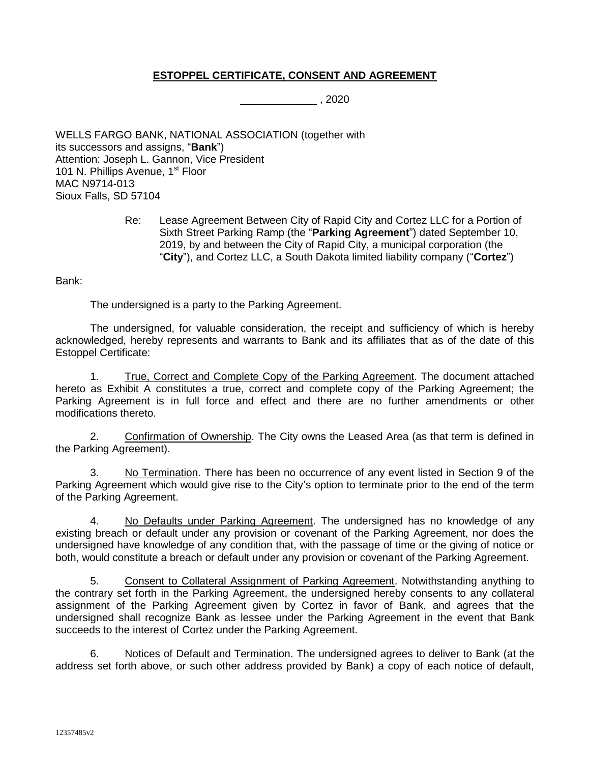## **ESTOPPEL CERTIFICATE, CONSENT AND AGREEMENT**

\_\_\_\_\_\_\_\_\_\_\_\_\_ , 2020

WELLS FARGO BANK, NATIONAL ASSOCIATION (together with its successors and assigns, "**Bank**") Attention: Joseph L. Gannon, Vice President 101 N. Phillips Avenue, 1<sup>st</sup> Floor MAC N9714-013 Sioux Falls, SD 57104

> Re: Lease Agreement Between City of Rapid City and Cortez LLC for a Portion of Sixth Street Parking Ramp (the "**Parking Agreement**") dated September 10, 2019, by and between the City of Rapid City, a municipal corporation (the "**City**"), and Cortez LLC, a South Dakota limited liability company ("**Cortez**")

Bank:

The undersigned is a party to the Parking Agreement.

The undersigned, for valuable consideration, the receipt and sufficiency of which is hereby acknowledged, hereby represents and warrants to Bank and its affiliates that as of the date of this Estoppel Certificate:

1. True, Correct and Complete Copy of the Parking Agreement. The document attached hereto as Exhibit A constitutes a true, correct and complete copy of the Parking Agreement; the Parking Agreement is in full force and effect and there are no further amendments or other modifications thereto.

2. Confirmation of Ownership. The City owns the Leased Area (as that term is defined in the Parking Agreement).

3. No Termination. There has been no occurrence of any event listed in Section 9 of the Parking Agreement which would give rise to the City's option to terminate prior to the end of the term of the Parking Agreement.

4. No Defaults under Parking Agreement. The undersigned has no knowledge of any existing breach or default under any provision or covenant of the Parking Agreement, nor does the undersigned have knowledge of any condition that, with the passage of time or the giving of notice or both, would constitute a breach or default under any provision or covenant of the Parking Agreement.

5. Consent to Collateral Assignment of Parking Agreement. Notwithstanding anything to the contrary set forth in the Parking Agreement, the undersigned hereby consents to any collateral assignment of the Parking Agreement given by Cortez in favor of Bank, and agrees that the undersigned shall recognize Bank as lessee under the Parking Agreement in the event that Bank succeeds to the interest of Cortez under the Parking Agreement.

6. Notices of Default and Termination. The undersigned agrees to deliver to Bank (at the address set forth above, or such other address provided by Bank) a copy of each notice of default,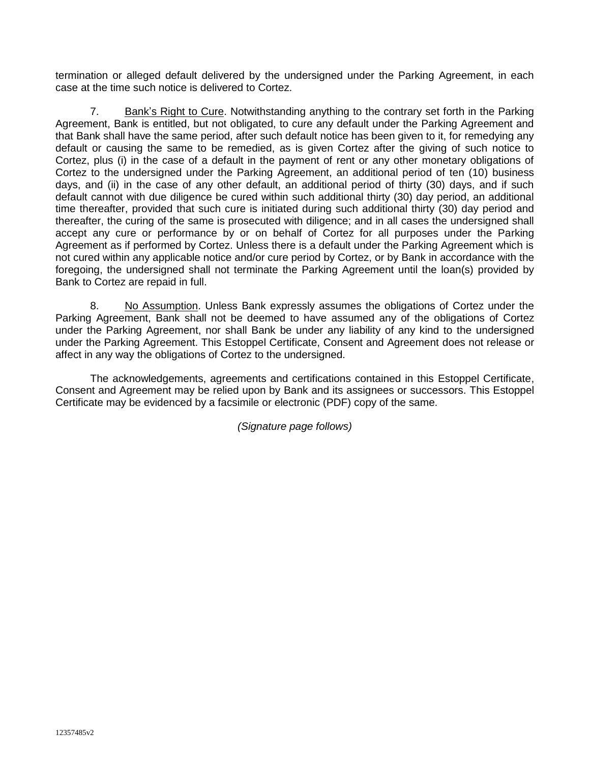termination or alleged default delivered by the undersigned under the Parking Agreement, in each case at the time such notice is delivered to Cortez.

7. Bank's Right to Cure. Notwithstanding anything to the contrary set forth in the Parking Agreement, Bank is entitled, but not obligated, to cure any default under the Parking Agreement and that Bank shall have the same period, after such default notice has been given to it, for remedying any default or causing the same to be remedied, as is given Cortez after the giving of such notice to Cortez, plus (i) in the case of a default in the payment of rent or any other monetary obligations of Cortez to the undersigned under the Parking Agreement, an additional period of ten (10) business days, and (ii) in the case of any other default, an additional period of thirty (30) days, and if such default cannot with due diligence be cured within such additional thirty (30) day period, an additional time thereafter, provided that such cure is initiated during such additional thirty (30) day period and thereafter, the curing of the same is prosecuted with diligence; and in all cases the undersigned shall accept any cure or performance by or on behalf of Cortez for all purposes under the Parking Agreement as if performed by Cortez. Unless there is a default under the Parking Agreement which is not cured within any applicable notice and/or cure period by Cortez, or by Bank in accordance with the foregoing, the undersigned shall not terminate the Parking Agreement until the loan(s) provided by Bank to Cortez are repaid in full.

8. No Assumption. Unless Bank expressly assumes the obligations of Cortez under the Parking Agreement, Bank shall not be deemed to have assumed any of the obligations of Cortez under the Parking Agreement, nor shall Bank be under any liability of any kind to the undersigned under the Parking Agreement. This Estoppel Certificate, Consent and Agreement does not release or affect in any way the obligations of Cortez to the undersigned.

The acknowledgements, agreements and certifications contained in this Estoppel Certificate, Consent and Agreement may be relied upon by Bank and its assignees or successors. This Estoppel Certificate may be evidenced by a facsimile or electronic (PDF) copy of the same.

*(Signature page follows)*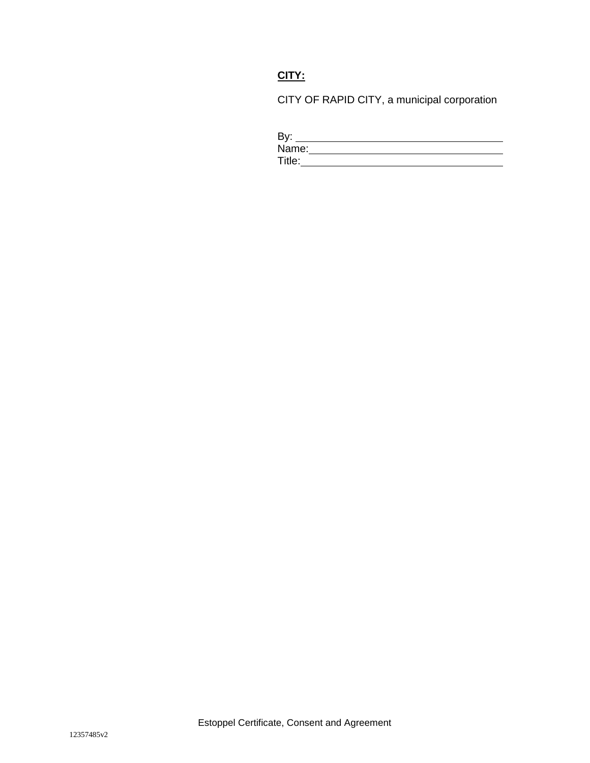## **CITY:**

CITY OF RAPID CITY, a municipal corporation

| By:    |  |  |
|--------|--|--|
| Name:  |  |  |
| Title: |  |  |